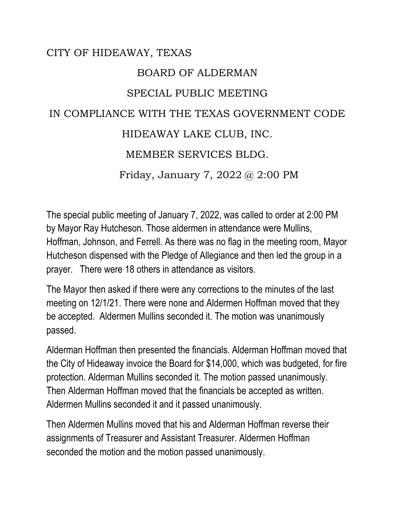## CITY OF HIDEAWAY, TEXAS BOARD OF ALDERMAN SPECIAL PUBLIC MEETING IN COMPLIANCE WITH THE TEXAS GOVERNMENT CODE HIDEAWAY LAKE CLUB, INC. MEMBER SERVICES BLDG. Friday, January 7, 2022 @ 2:00 PM

The special public meeting of January 7, 2022, was called to order at 2:00 PM by Mayor Ray Hutcheson. Those aldermen in attendance were Mullins, Hoffman, Johnson, and Ferrell. As there was no flag in the meeting room, Mayor Hutcheson dispensed with the Pledge of Allegiance and then led the group in a prayer. There were 18 others in attendance as visitors.

The Mayor then asked if there were any corrections to the minutes of the last meeting on 12/1/21. There were none and Aldermen Hoffman moved that they be accepted. Aldermen Mullins seconded it. The motion was unanimously passed.

Alderman Hoffman then presented the financials. Alderman Hoffman moved that the City of Hideaway invoice the Board for \$14,000, which was budgeted, for fire protection. Alderman Mullins seconded it. The motion passed unanimously. Then Alderman Hoffman moved that the financials be accepted as written. Aldermen Mullins seconded it and it passed unanimously.

Then Aldermen Mullins moved that his and Alderman Hoffman reverse their assignments of Treasurer and Assistant Treasurer. Aldermen Hoffman seconded the motion and the motion passed unanimously.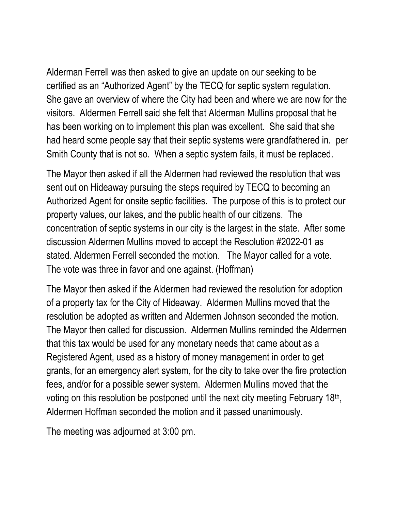Alderman Ferrell was then asked to give an update on our seeking to be certified as an "Authorized Agent" by the TECQ for septic system regulation. She gave an overview of where the City had been and where we are now for the visitors. Aldermen Ferrell said she felt that Alderman Mullins proposal that he has been working on to implement this plan was excellent. She said that she had heard some people say that their septic systems were grandfathered in. per Smith County that is not so. When a septic system fails, it must be replaced.

The Mayor then asked if all the Aldermen had reviewed the resolution that was sent out on Hideaway pursuing the steps required by TECQ to becoming an Authorized Agent for onsite septic facilities. The purpose of this is to protect our property values, our lakes, and the public health of our citizens. The concentration of septic systems in our city is the largest in the state. After some discussion Aldermen Mullins moved to accept the Resolution #2022-01 as stated. Aldermen Ferrell seconded the motion. The Mayor called for a vote. The vote was three in favor and one against. (Hoffman)

The Mayor then asked if the Aldermen had reviewed the resolution for adoption of a property tax for the City of Hideaway. Aldermen Mullins moved that the resolution be adopted as written and Aldermen Johnson seconded the motion. The Mayor then called for discussion. Aldermen Mullins reminded the Aldermen that this tax would be used for any monetary needs that came about as a Registered Agent, used as a history of money management in order to get grants, for an emergency alert system, for the city to take over the fire protection fees, and/or for a possible sewer system. Aldermen Mullins moved that the voting on this resolution be postponed until the next city meeting February 18<sup>th</sup>, Aldermen Hoffman seconded the motion and it passed unanimously.

The meeting was adjourned at 3:00 pm.